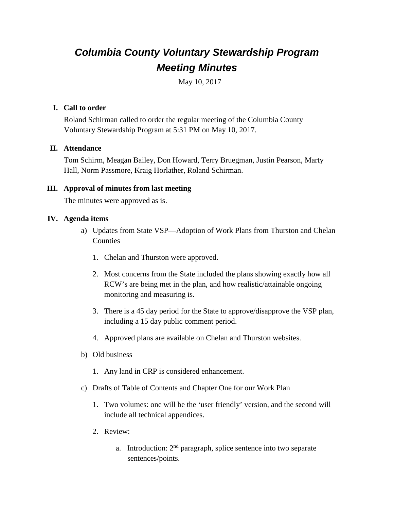# *Columbia County Voluntary Stewardship Program Meeting Minutes*

May 10, 2017

#### **I. Call to order**

Roland Schirman called to order the regular meeting of the Columbia County Voluntary Stewardship Program at 5:31 PM on May 10, 2017.

## **II. Attendance**

Tom Schirm, Meagan Bailey, Don Howard, Terry Bruegman, Justin Pearson, Marty Hall, Norm Passmore, Kraig Horlather, Roland Schirman.

## **III. Approval of minutes from last meeting**

The minutes were approved as is.

## **IV. Agenda items**

- a) Updates from State VSP—Adoption of Work Plans from Thurston and Chelan Counties
	- 1. Chelan and Thurston were approved.
	- 2. Most concerns from the State included the plans showing exactly how all RCW's are being met in the plan, and how realistic/attainable ongoing monitoring and measuring is.
	- 3. There is a 45 day period for the State to approve/disapprove the VSP plan, including a 15 day public comment period.
	- 4. Approved plans are available on Chelan and Thurston websites.
- b) Old business
	- 1. Any land in CRP is considered enhancement.
- c) Drafts of Table of Contents and Chapter One for our Work Plan
	- 1. Two volumes: one will be the 'user friendly' version, and the second will include all technical appendices.
	- 2. Review:
		- a. Introduction:  $2<sup>nd</sup>$  paragraph, splice sentence into two separate sentences/points.